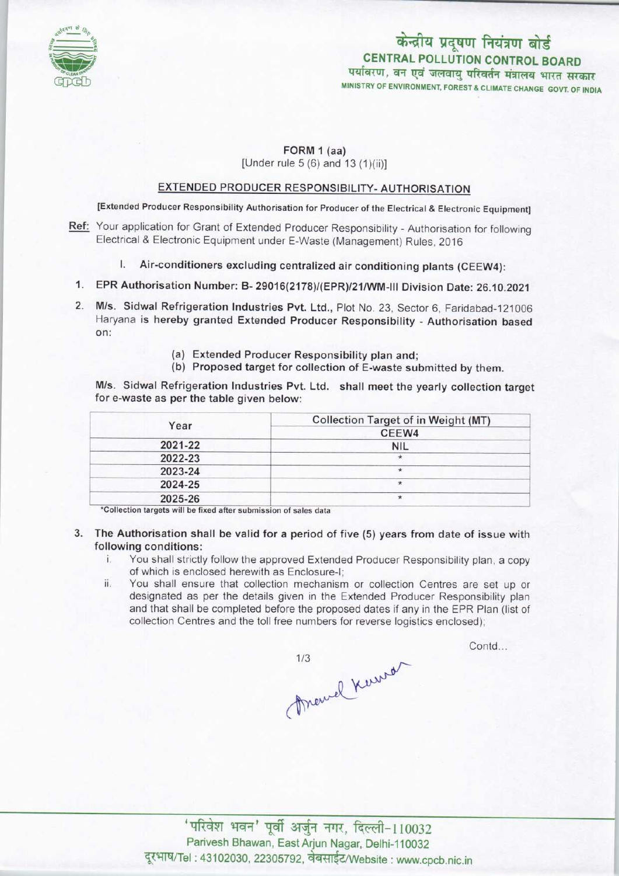

# CENTRAL POLLUTION CONTROL BOARD केन्द्रीय प्रदूषण नियंत्रण बोर्ड<br>CENTRAL POLLUTION CONTROL BOARD<br>पर्यावरण, वन एवं जलवायु परिवर्तन मंत्रालय भारत सरकार MINISTRY OF ENVIRONMENT, FOREST & CLIMATE CHANGE GOVT. OF INDIA

### FORM 1 (aa)

[Under rule  $5(6)$  and  $13(1)(ii)$ ]

# EXTENDED PRODUCER RESPONSIBILITY- AUTHORISATION

[Extended Producer Responsibility Authorisation for Producer of the Electrical & Electronic Equipment]

- Ref: Your application for Grant of Extended Producer Responsibility Authorisation for following Electrical & Electronic Equipment under E-Waste (Management) Rules, 2016
	- I. Air-conditioners excluding centralized air conditioning plants (CEEW4):
	- 1.EPR Authorisation Number: B- 29016(2178)/(EPR)/21/WM-lll Division Date: 26.10.2021
- 2.Mis. Sidwal Refrigeration Industries Pvt. Ltd., Plot No. 23, Sector 6, Faridabad-121006 Haryana is hereby granted Extended Producer Responsibility - Authorisation based on:
	- (a)Extended Producer Responsibility plan and;
	- (b) Proposed target for collection of E-waste submitted by them.

M/s. Sidwal Refrigeration Industries Pvt. Ltd. shall meet the yearly collection target for e-waste as per the table given below:

| <b>Collection Target of in Weight (MT)</b> |
|--------------------------------------------|
| CEEW4                                      |
| <b>NIL</b>                                 |
| $\ast$                                     |
| $\star$                                    |
| $\ast$                                     |
| $\star$                                    |
|                                            |

"Collection targets will be fixed after submission of sales data

- 3. The Authorisation shall be valid for a period of five (5) years from date of issue with following conditions:
	- i. You shall strictly follow the approved Extended Producer Responsibility plan, <sup>a</sup> copy of which is enclosed herewith as Enclosure-I;
	- ii. You shall ensure that collection mechanism or collection Centres are set up or designated as per the details given in the Extended Producer Responsibility plan and that shall be completed before the proposed dates if any in the EPR Plan (list of collection Centres and the toll free numbers for reverse logistics enclosed);

Marcel Kerrs

Contd...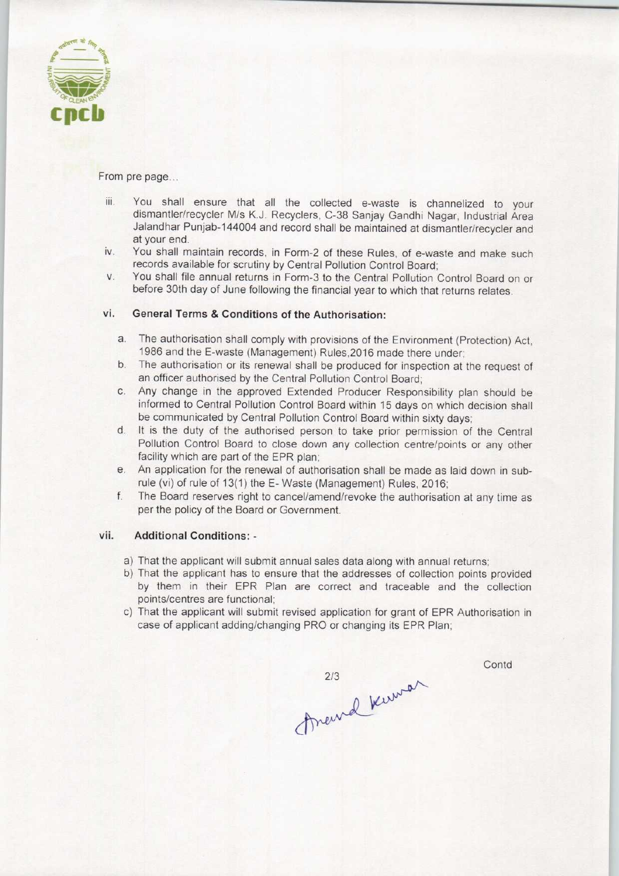

From pre page...

- iii. You shall ensure that all the collected e-waste is channelized to your dismantler/recycler M/s K.J. Recyclers, C-38 Sanjay Gandhi Nagar, Industrial Area Jalandhar Punjab-144004 and record shall be maintained at dismantler/recycler and at your end.
- iv. You shall maintain records, in Form-2 of these Rules, of e-waste and make such records available for scrutiny by Central Pollution Control Board;
- v. You shall file annual returns in Form-3 to the Central Pollution Control Board on or before 30th day of June following the financial year to which that returns relates.

## vi. General Terms & Conditions of the Authorisation:

- a.The authorisation shall comply with provisions ofthe Environment (Protection) Act, 1986 and the E-waste (Management) Rules,2016 made there under;
- b.The authorisation or its renewal shall be produced for inspection at the request of an officer authorised by the Central Pollution Control Board;
- c.Any change in the approved Extended Producer Responsibility plan should be informed to Central Pollution Control Board within 15 days on which decision shall be communicated by Central Pollution Control Board within sixty days;
- d. It is the duty of the authorised person to take prior permission of the Central Pollution Control Board to close down any collection centre/points or any other facility which are part of the EPR plan;
- e. An application for the renewal of authorisation shall be made as laid down in subrule (vi) of rule of 13(1) the E-Waste (Management) Rules, 2016;
- f.The Board reserves right to cancel/amend/revoke the authorisation at any time as per the policy of the Board or Government.

#### vii. Additional Conditions: -

- a) That the applicant will submit annual sales data along with annual returns;
- b) That the applicant has to ensure that the addresses of collection points provided by them in their EPR Plan are correct and traceable and the collection points/centres are functional;
- c) That the applicant will submit revised application for grant of EPR Authorisation in case of applicant adding/changing PRO or changing its EPR Plan;

Contd

213<br>Anewal Kuman